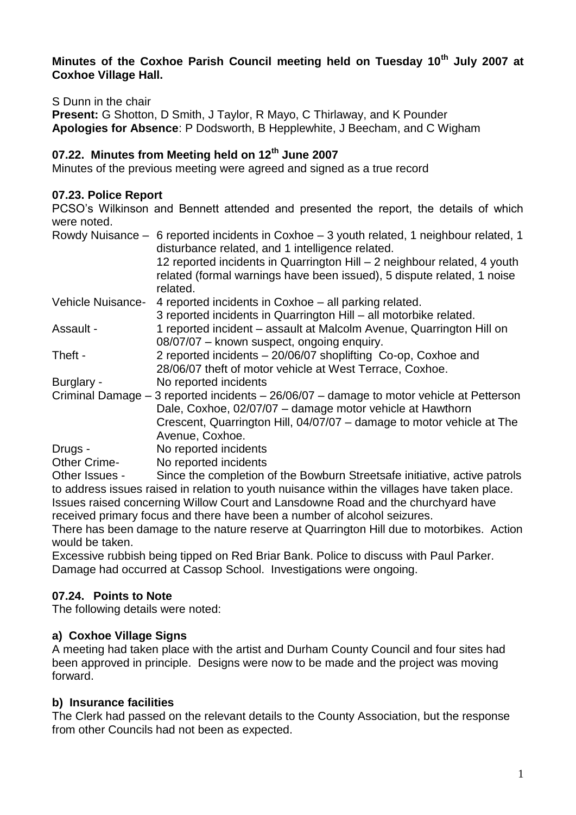#### **Minutes of the Coxhoe Parish Council meeting held on Tuesday 10th July 2007 at Coxhoe Village Hall.**

#### S Dunn in the chair

**Present:** G Shotton, D Smith, J Taylor, R Mayo, C Thirlaway, and K Pounder **Apologies for Absence**: P Dodsworth, B Hepplewhite, J Beecham, and C Wigham

## **07.22. Minutes from Meeting held on 12th June 2007**

Minutes of the previous meeting were agreed and signed as a true record

#### **07.23. Police Report**

PCSO's Wilkinson and Bennett attended and presented the report, the details of which were noted.

|                     | Rowdy Nuisance – 6 reported incidents in Coxhoe – 3 youth related, 1 neighbour related, 1<br>disturbance related, and 1 intelligence related. |
|---------------------|-----------------------------------------------------------------------------------------------------------------------------------------------|
|                     | 12 reported incidents in Quarrington Hill - 2 neighbour related, 4 youth                                                                      |
|                     | related (formal warnings have been issued), 5 dispute related, 1 noise                                                                        |
|                     | related.                                                                                                                                      |
| Vehicle Nuisance-   | 4 reported incidents in Coxhoe – all parking related.                                                                                         |
|                     | 3 reported incidents in Quarrington Hill - all motorbike related.                                                                             |
| Assault -           | 1 reported incident - assault at Malcolm Avenue, Quarrington Hill on                                                                          |
|                     | 08/07/07 - known suspect, ongoing enquiry.                                                                                                    |
| Theft -             | 2 reported incidents - 20/06/07 shoplifting Co-op, Coxhoe and                                                                                 |
|                     | 28/06/07 theft of motor vehicle at West Terrace, Coxhoe.                                                                                      |
| Burglary -          | No reported incidents                                                                                                                         |
|                     | Criminal Damage – 3 reported incidents – 26/06/07 – damage to motor vehicle at Petterson                                                      |
|                     | Dale, Coxhoe, 02/07/07 - damage motor vehicle at Hawthorn                                                                                     |
|                     | Crescent, Quarrington Hill, 04/07/07 - damage to motor vehicle at The                                                                         |
|                     | Avenue, Coxhoe.                                                                                                                               |
| Drugs -             | No reported incidents                                                                                                                         |
| <b>Other Crime-</b> | No reported incidents                                                                                                                         |
| Other Issues -      | Since the completion of the Bowburn Streetsafe initiative, active patrols                                                                     |

Other Issues - Since the completion of the Bowburn Streetsafe initiative, active patrols to address issues raised in relation to youth nuisance within the villages have taken place. Issues raised concerning Willow Court and Lansdowne Road and the churchyard have received primary focus and there have been a number of alcohol seizures.

There has been damage to the nature reserve at Quarrington Hill due to motorbikes. Action would be taken.

Excessive rubbish being tipped on Red Briar Bank. Police to discuss with Paul Parker. Damage had occurred at Cassop School. Investigations were ongoing.

## **07.24. Points to Note**

The following details were noted:

#### **a) Coxhoe Village Signs**

A meeting had taken place with the artist and Durham County Council and four sites had been approved in principle. Designs were now to be made and the project was moving forward.

#### **b) Insurance facilities**

The Clerk had passed on the relevant details to the County Association, but the response from other Councils had not been as expected.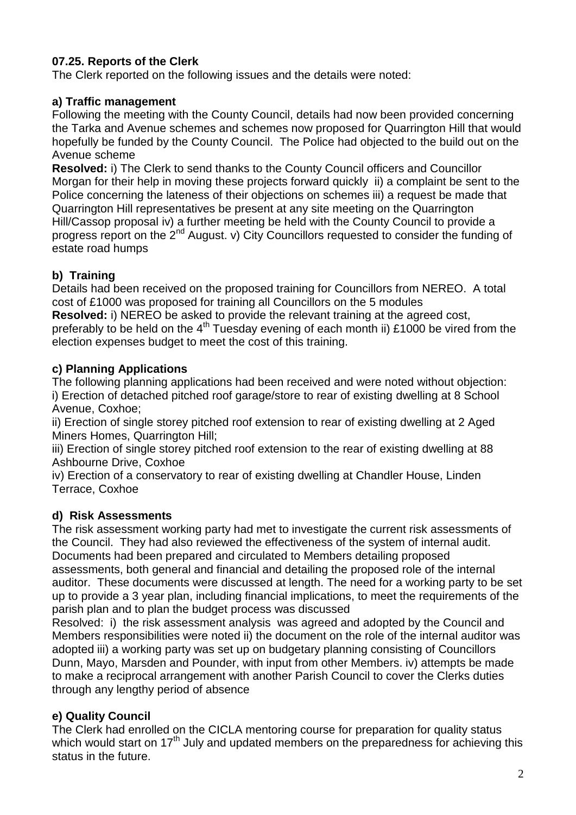# **07.25. Reports of the Clerk**

The Clerk reported on the following issues and the details were noted:

## **a) Traffic management**

Following the meeting with the County Council, details had now been provided concerning the Tarka and Avenue schemes and schemes now proposed for Quarrington Hill that would hopefully be funded by the County Council. The Police had objected to the build out on the Avenue scheme

**Resolved:** i) The Clerk to send thanks to the County Council officers and Councillor Morgan for their help in moving these projects forward quickly ii) a complaint be sent to the Police concerning the lateness of their objections on schemes iii) a request be made that Quarrington Hill representatives be present at any site meeting on the Quarrington Hill/Cassop proposal iv) a further meeting be held with the County Council to provide a progress report on the 2<sup>nd</sup> August. v) City Councillors requested to consider the funding of estate road humps

## **b) Training**

Details had been received on the proposed training for Councillors from NEREO. A total cost of £1000 was proposed for training all Councillors on the 5 modules

**Resolved:** i) NEREO be asked to provide the relevant training at the agreed cost, preferably to be held on the  $4<sup>th</sup>$  Tuesday evening of each month ii) £1000 be vired from the election expenses budget to meet the cost of this training.

## **c) Planning Applications**

The following planning applications had been received and were noted without objection: i) Erection of detached pitched roof garage/store to rear of existing dwelling at 8 School Avenue, Coxhoe;

ii) Erection of single storey pitched roof extension to rear of existing dwelling at 2 Aged Miners Homes, Quarrington Hill;

iii) Erection of single storey pitched roof extension to the rear of existing dwelling at 88 Ashbourne Drive, Coxhoe

iv) Erection of a conservatory to rear of existing dwelling at Chandler House, Linden Terrace, Coxhoe

## **d) Risk Assessments**

The risk assessment working party had met to investigate the current risk assessments of the Council. They had also reviewed the effectiveness of the system of internal audit. Documents had been prepared and circulated to Members detailing proposed assessments, both general and financial and detailing the proposed role of the internal auditor. These documents were discussed at length. The need for a working party to be set up to provide a 3 year plan, including financial implications, to meet the requirements of the parish plan and to plan the budget process was discussed

Resolved: i) the risk assessment analysis was agreed and adopted by the Council and Members responsibilities were noted ii) the document on the role of the internal auditor was adopted iii) a working party was set up on budgetary planning consisting of Councillors Dunn, Mayo, Marsden and Pounder, with input from other Members. iv) attempts be made to make a reciprocal arrangement with another Parish Council to cover the Clerks duties through any lengthy period of absence

# **e) Quality Council**

The Clerk had enrolled on the CICLA mentoring course for preparation for quality status which would start on 17<sup>th</sup> July and updated members on the preparedness for achieving this status in the future.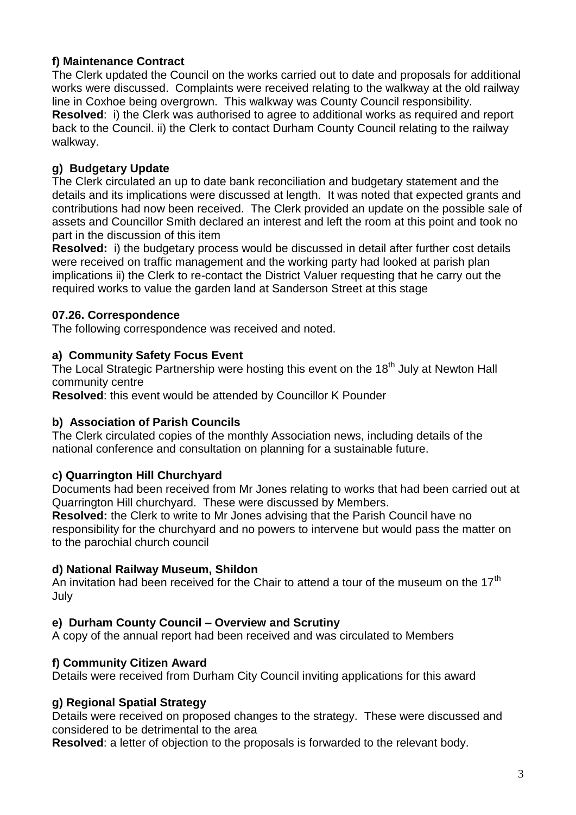## **f) Maintenance Contract**

The Clerk updated the Council on the works carried out to date and proposals for additional works were discussed. Complaints were received relating to the walkway at the old railway line in Coxhoe being overgrown. This walkway was County Council responsibility. **Resolved**: i) the Clerk was authorised to agree to additional works as required and report back to the Council. ii) the Clerk to contact Durham County Council relating to the railway walkway.

# **g) Budgetary Update**

The Clerk circulated an up to date bank reconciliation and budgetary statement and the details and its implications were discussed at length. It was noted that expected grants and contributions had now been received. The Clerk provided an update on the possible sale of assets and Councillor Smith declared an interest and left the room at this point and took no part in the discussion of this item

**Resolved:** i) the budgetary process would be discussed in detail after further cost details were received on traffic management and the working party had looked at parish plan implications ii) the Clerk to re-contact the District Valuer requesting that he carry out the required works to value the garden land at Sanderson Street at this stage

## **07.26. Correspondence**

The following correspondence was received and noted.

## **a) Community Safety Focus Event**

The Local Strategic Partnership were hosting this event on the 18<sup>th</sup> July at Newton Hall community centre

**Resolved**: this event would be attended by Councillor K Pounder

## **b) Association of Parish Councils**

The Clerk circulated copies of the monthly Association news, including details of the national conference and consultation on planning for a sustainable future.

## **c) Quarrington Hill Churchyard**

Documents had been received from Mr Jones relating to works that had been carried out at Quarrington Hill churchyard. These were discussed by Members.

**Resolved:** the Clerk to write to Mr Jones advising that the Parish Council have no responsibility for the churchyard and no powers to intervene but would pass the matter on to the parochial church council

## **d) National Railway Museum, Shildon**

An invitation had been received for the Chair to attend a tour of the museum on the  $17<sup>th</sup>$ July

## **e) Durham County Council – Overview and Scrutiny**

A copy of the annual report had been received and was circulated to Members

## **f) Community Citizen Award**

Details were received from Durham City Council inviting applications for this award

## **g) Regional Spatial Strategy**

Details were received on proposed changes to the strategy. These were discussed and considered to be detrimental to the area

**Resolved**: a letter of objection to the proposals is forwarded to the relevant body.